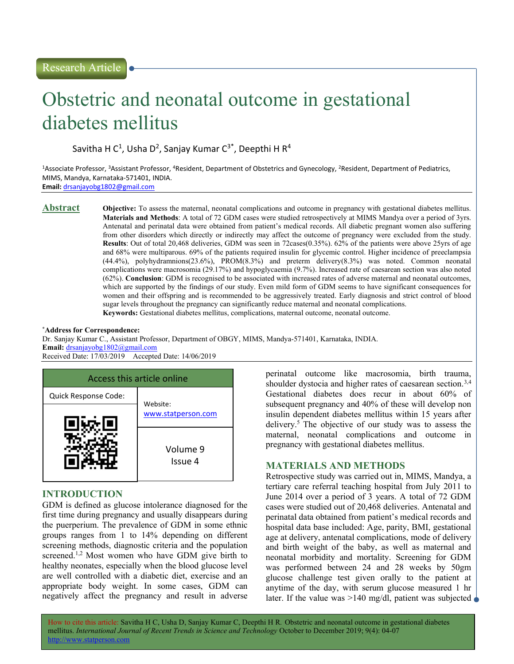# Obstetric and neonatal outcome in gestational diabetes mellitus

Savitha H C<sup>1</sup>, Usha D<sup>2</sup>, Sanjay Kumar C<sup>3\*</sup>, Deepthi H R<sup>4</sup>

<sup>1</sup>Associate Professor, <sup>3</sup>Assistant Professor, <sup>4</sup>Resident, Department of Obstetrics and Gynecology, <sup>2</sup>Resident, Department of Pediatrics, MIMS, Mandya, Karnataka-571401, INDIA. Email: drsanjayobg1802@gmail.com

Abstract Objective: To assess the maternal, neonatal complications and outcome in pregnancy with gestational diabetes mellitus. Materials and Methods: A total of 72 GDM cases were studied retrospectively at MIMS Mandya over a period of 3yrs. Antenatal and perinatal data were obtained from patient's medical records. All diabetic pregnant women also suffering from other disorders which directly or indirectly may affect the outcome of pregnancy were excluded from the study. Results: Out of total 20,468 deliveries, GDM was seen in 72cases(0.35%). 62% of the patients were above 25yrs of age and 68% were multiparous. 69% of the patients required insulin for glycemic control. Higher incidence of preeclampsia (44.4%), polyhydramnions(23.6%), PROM(8.3%) and preterm delivery(8.3%) was noted. Common neonatal complications were macrosomia (29.17%) and hypoglycaemia (9.7%). Increased rate of caesarean section was also noted (62%). Conclusion: GDM is recognised to be associated with increased rates of adverse maternal and neonatal outcomes, which are supported by the findings of our study. Even mild form of GDM seems to have significant consequences for women and their offspring and is recommended to be aggressively treated. Early diagnosis and strict control of blood sugar levels throughout the pregnancy can significantly reduce maternal and neonatal complications. Keywords: Gestational diabetes mellitus, complications, maternal outcome, neonatal outcome.

#### \*Address for Correspondence:

Dr. Sanjay Kumar C., Assistant Professor, Department of OBGY, MIMS, Mandya-571401, Karnataka, INDIA. Email: drsanjayobg1802@gmail.com Received Date: 17/03/2019 Accepted Date: 14/06/2019



# INTRODUCTION

GDM is defined as glucose intolerance diagnosed for the first time during pregnancy and usually disappears during the puerperium. The prevalence of GDM in some ethnic groups ranges from 1 to 14% depending on different screening methods, diagnostic criteria and the population screened.<sup>1,2</sup> Most women who have GDM give birth to healthy neonates, especially when the blood glucose level are well controlled with a diabetic diet, exercise and an appropriate body weight. In some cases, GDM can negatively affect the pregnancy and result in adverse

perinatal outcome like macrosomia, birth trauma, shoulder dystocia and higher rates of caesarean section.<sup>3,4</sup> Gestational diabetes does recur in about 60% of subsequent pregnancy and 40% of these will develop non insulin dependent diabetes mellitus within 15 years after delivery.<sup>5</sup> The objective of our study was to assess the maternal, neonatal complications and outcome in pregnancy with gestational diabetes mellitus.

# MATERIALS AND METHODS

Retrospective study was carried out in, MIMS, Mandya, a tertiary care referral teaching hospital from July 2011 to June 2014 over a period of 3 years. A total of 72 GDM cases were studied out of 20,468 deliveries. Antenatal and perinatal data obtained from patient's medical records and hospital data base included: Age, parity, BMI, gestational age at delivery, antenatal complications, mode of delivery and birth weight of the baby, as well as maternal and neonatal morbidity and mortality. Screening for GDM was performed between 24 and 28 weeks by 50gm glucose challenge test given orally to the patient at anytime of the day, with serum glucose measured 1 hr later. If the value was  $>140$  mg/dl, patient was subjected

How to cite this article: Savitha H C, Usha D, Sanjay Kumar C, Deepthi H R. Obstetric and neonatal outcome in gestational diabetes mellitus. International Journal of Recent Trends in Science and Technology October to December 2019; 9(4): 04-07 http://www.statperson.com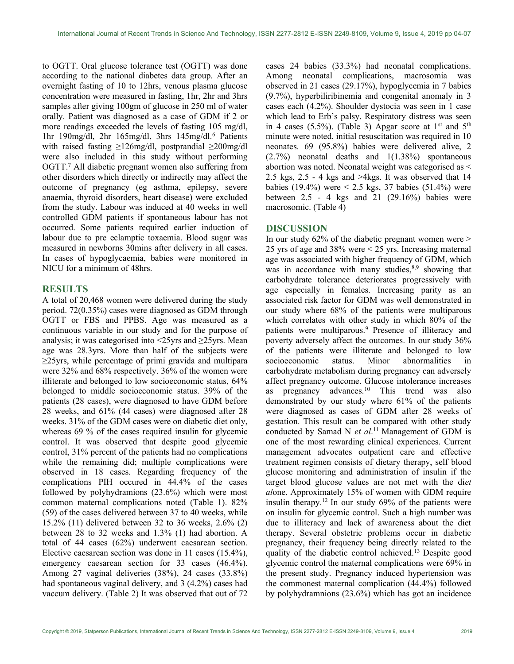to OGTT. Oral glucose tolerance test (OGTT) was done according to the national diabetes data group. After an overnight fasting of 10 to 12hrs, venous plasma glucose concentration were measured in fasting, 1hr, 2hr and 3hrs samples after giving 100gm of glucose in 250 ml of water orally. Patient was diagnosed as a case of GDM if 2 or more readings exceeded the levels of fasting 105 mg/dl, 1hr 190mg/dl, 2hr 165mg/dl, 3hrs 145mg/dl.<sup>6</sup> Patients with raised fasting ≥126mg/dl, postprandial ≥200mg/dl were also included in this study without performing OGTT.<sup>7</sup> All diabetic pregnant women also suffering from other disorders which directly or indirectly may affect the outcome of pregnancy (eg asthma, epilepsy, severe anaemia, thyroid disorders, heart disease) were excluded from the study. Labour was induced at 40 weeks in well controlled GDM patients if spontaneous labour has not occurred. Some patients required earlier induction of labour due to pre eclamptic toxaemia. Blood sugar was measured in newborns 30mins after delivery in all cases. In cases of hypoglycaemia, babies were monitored in NICU for a minimum of 48hrs.

## RESULTS

A total of 20,468 women were delivered during the study period. 72(0.35%) cases were diagnosed as GDM through OGTT or FBS and PPBS. Age was measured as a continuous variable in our study and for the purpose of analysis; it was categorised into <25yrs and ≥25yrs. Mean age was 28.3yrs. More than half of the subjects were ≥25yrs, while percentage of primi gravida and multipara were 32% and 68% respectively. 36% of the women were illiterate and belonged to low socioeconomic status, 64% belonged to middle socioeconomic status. 39% of the patients (28 cases), were diagnosed to have GDM before 28 weeks, and 61% (44 cases) were diagnosed after 28 weeks. 31% of the GDM cases were on diabetic diet only, whereas 69 % of the cases required insulin for glycemic control. It was observed that despite good glycemic control, 31% percent of the patients had no complications while the remaining did; multiple complications were observed in 18 cases. Regarding frequency of the complications PIH occured in 44.4% of the cases followed by polyhydramions (23.6%) which were most common maternal complications noted (Table 1). 82% (59) of the cases delivered between 37 to 40 weeks, while 15.2% (11) delivered between 32 to 36 weeks, 2.6% (2) between 28 to 32 weeks and 1.3% (1) had abortion. A total of 44 cases (62%) underwent caesarean section. Elective caesarean section was done in 11 cases (15.4%), emergency caesarean section for 33 cases (46.4%). Among 27 vaginal deliveries (38%), 24 cases (33.8%) had spontaneous vaginal delivery, and 3 (4.2%) cases had vaccum delivery. (Table 2) It was observed that out of 72

cases 24 babies (33.3%) had neonatal complications. Among neonatal complications, macrosomia was observed in 21 cases (29.17%), hypoglycemia in 7 babies (9.7%), hyperbiliribinemia and congenital anomaly in 3 cases each (4.2%). Shoulder dystocia was seen in 1 case which lead to Erb's palsy. Respiratory distress was seen in 4 cases (5.5%). (Table 3) Apgar score at  $1<sup>st</sup>$  and  $5<sup>th</sup>$ minute were noted, initial resuscitation was required in 10 neonates. 69 (95.8%) babies were delivered alive, 2 (2.7%) neonatal deaths and 1(1.38%) spontaneous abortion was noted. Neonatal weight was categorised as < 2.5 kgs, 2.5 - 4 kgs and >4kgs. It was observed that 14 babies (19.4%) were < 2.5 kgs, 37 babies (51.4%) were between  $2.5 - 4$  kgs and  $21$  (29.16%) babies were macrosomic. (Table 4)

# DISCUSSION

In our study 62% of the diabetic pregnant women were > 25 yrs of age and 38% were < 25 yrs. Increasing maternal age was associated with higher frequency of GDM, which was in accordance with many studies, $8,9$  showing that carbohydrate tolerance deteriorates progressively with age especially in females. Increasing parity as an associated risk factor for GDM was well demonstrated in our study where 68% of the patients were multiparous which correlates with other study in which 80% of the patients were multiparous.<sup>9</sup> Presence of illiteracy and poverty adversely affect the outcomes. In our study 36% of the patients were illiterate and belonged to low socioeconomic status. Minor abnormalities in carbohydrate metabolism during pregnancy can adversely affect pregnancy outcome. Glucose intolerance increases as pregnancy advances.<sup>10</sup> This trend was also demonstrated by our study where 61% of the patients were diagnosed as cases of GDM after 28 weeks of gestation. This result can be compared with other study conducted by Samad N et  $al$ .<sup>11</sup> Management of GDM is one of the most rewarding clinical experiences. Current management advocates outpatient care and effective treatment regimen consists of dietary therapy, self blood glucose monitoring and administration of insulin if the target blood glucose values are not met with the diet alone. Approximately 15% of women with GDM require insulin therapy.<sup>12</sup> In our study  $69\%$  of the patients were on insulin for glycemic control. Such a high number was due to illiteracy and lack of awareness about the diet therapy. Several obstetric problems occur in diabetic pregnancy, their frequency being directly related to the quality of the diabetic control achieved.<sup>13</sup> Despite good glycemic control the maternal complications were 69% in the present study. Pregnancy induced hypertension was the commonest maternal complication (44.4%) followed by polyhydramnions (23.6%) which has got an incidence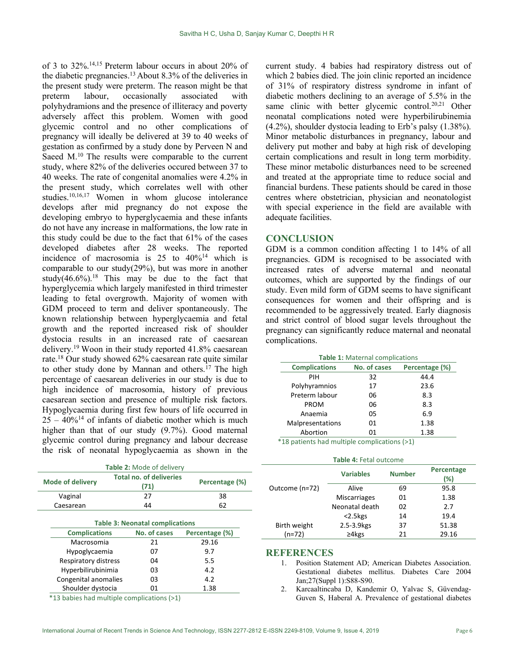of 3 to 32%.14,15 Preterm labour occurs in about 20% of the diabetic pregnancies.<sup>13</sup>About 8.3% of the deliveries in the present study were preterm. The reason might be that preterm labour, occasionally associated with polyhydramions and the presence of illiteracy and poverty adversely affect this problem. Women with good glycemic control and no other complications of pregnancy will ideally be delivered at 39 to 40 weeks of gestation as confirmed by a study done by Perveen N and Saeed  $M$ .<sup>10</sup> The results were comparable to the current study, where 82% of the deliveries occured between 37 to 40 weeks. The rate of congenital anomalies were 4.2% in the present study, which correlates well with other studies.10,16,17 Women in whom glucose intolerance develops after mid pregnancy do not expose the developing embryo to hyperglycaemia and these infants do not have any increase in malformations, the low rate in this study could be due to the fact that 61% of the cases developed diabetes after 28 weeks. The reported incidence of macrosomia is  $25$  to  $40\%$ <sup>14</sup> which is comparable to our study(29%), but was more in another study(46.6%).<sup>18</sup> This may be due to the fact that hyperglycemia which largely manifested in third trimester leading to fetal overgrowth. Majority of women with GDM proceed to term and deliver spontaneously. The known relationship between hyperglycaemia and fetal growth and the reported increased risk of shoulder dystocia results in an increased rate of caesarean delivery.<sup>19</sup> Woon in their study reported 41.8% caesarean rate.<sup>18</sup> Our study showed 62% caesarean rate quite similar to other study done by Mannan and others.<sup>17</sup> The high percentage of caesarean deliveries in our study is due to high incidence of macrosomia, history of previous caesarean section and presence of multiple risk factors. Hypoglycaemia during first few hours of life occurred in  $25 - 40\%$ <sup>14</sup> of infants of diabetic mother which is much higher than that of our study (9.7%). Good maternal glycemic control during pregnancy and labour decrease the risk of neonatal hypoglycaemia as shown in the

| Table 2: Mode of delivery |                                        |  |                                        |        |                |  |  |
|---------------------------|----------------------------------------|--|----------------------------------------|--------|----------------|--|--|
|                           | <b>Mode of delivery</b>                |  | <b>Total no. of deliveries</b><br>(71) |        | Percentage (%) |  |  |
| Vaginal                   |                                        |  | 27                                     |        | 38             |  |  |
|                           | Caesarean<br>44                        |  |                                        | 62     |                |  |  |
|                           | <b>Table 3: Neonatal complications</b> |  |                                        |        |                |  |  |
|                           | <b>Complications</b>                   |  | No. of cases                           |        | Percentage (%) |  |  |
|                           | Macrosomia                             |  | 21                                     |        | 29.16          |  |  |
|                           | Hypoglycaemia                          |  | 07                                     |        | 9.7            |  |  |
|                           | Respiratory distress                   |  | 04                                     |        | 5.5            |  |  |
|                           | Hyperbilirubinimia                     |  | 03                                     |        | 4.2            |  |  |
|                           | Congenital anomalies                   |  | 03                                     |        | 4.2            |  |  |
|                           | Shoulder dystocia                      |  | 01                                     |        | 1.38           |  |  |
|                           |                                        |  | $\sim$                                 | $\sim$ |                |  |  |

\*13 babies had multiple complications (>1)

current study. 4 babies had respiratory distress out of which 2 babies died. The join clinic reported an incidence of 31% of respiratory distress syndrome in infant of diabetic mothers declining to an average of 5.5% in the same clinic with better glycemic control.<sup>20,21</sup> Other neonatal complications noted were hyperbilirubinemia (4.2%), shoulder dystocia leading to Erb's palsy (1.38%). Minor metabolic disturbances in pregnancy, labour and delivery put mother and baby at high risk of developing certain complications and result in long term morbidity. These minor metabolic disturbances need to be screened and treated at the appropriate time to reduce social and financial burdens. These patients should be cared in those centres where obstetrician, physician and neonatologist with special experience in the field are available with adequate facilities.

## **CONCLUSION**

GDM is a common condition affecting 1 to 14% of all pregnancies. GDM is recognised to be associated with increased rates of adverse maternal and neonatal outcomes, which are supported by the findings of our study. Even mild form of GDM seems to have significant consequences for women and their offspring and is recommended to be aggressively treated. Early diagnosis and strict control of blood sugar levels throughout the pregnancy can significantly reduce maternal and neonatal complications.

| Table 1: Maternal complications |              |                |  |  |  |  |  |
|---------------------------------|--------------|----------------|--|--|--|--|--|
| <b>Complications</b>            | No. of cases | Percentage (%) |  |  |  |  |  |
| PIH                             | 32           | 44.4           |  |  |  |  |  |
| Polyhyramnios                   | 17           | 23.6           |  |  |  |  |  |
| Preterm labour                  | 06           | 8.3            |  |  |  |  |  |
| <b>PROM</b>                     | 06           | 8.3            |  |  |  |  |  |
| Anaemia                         | 05           | 6.9            |  |  |  |  |  |
| Malpresentations                | 01           | 1.38           |  |  |  |  |  |
| Abortion                        | 01           | 1.38           |  |  |  |  |  |

\*18 patients had multiple complications (>1)

| Table 4: Fetal outcome |  |
|------------------------|--|
|------------------------|--|

|                | <b>Variables</b>    | <b>Number</b> | Percentage<br>(%) |
|----------------|---------------------|---------------|-------------------|
| Outcome (n=72) | Alive               | 69            | 95.8              |
|                | <b>Miscarriages</b> | 01            | 1.38              |
|                | Neonatal death      | 02            | 2.7               |
|                | $<$ 2.5 $kgS$       | 14            | 19.4              |
| Birth weight   | 2.5-3.9 kgs         | 37            | 51.38             |
| (n=72)         | $\geq 4$ kgs        | 21            | 29.16             |

# **REFERENCES**

- 1. Position Statement AD; American Diabetes Association. Gestational diabetes mellitus. Diabetes Care 2004 Jan;27(Suppl 1):S88-S90.
- 2. Karcaaltincaba D, Kandemir O, Yalvac S, Güvendag-Guven S, Haberal A. Prevalence of gestational diabetes